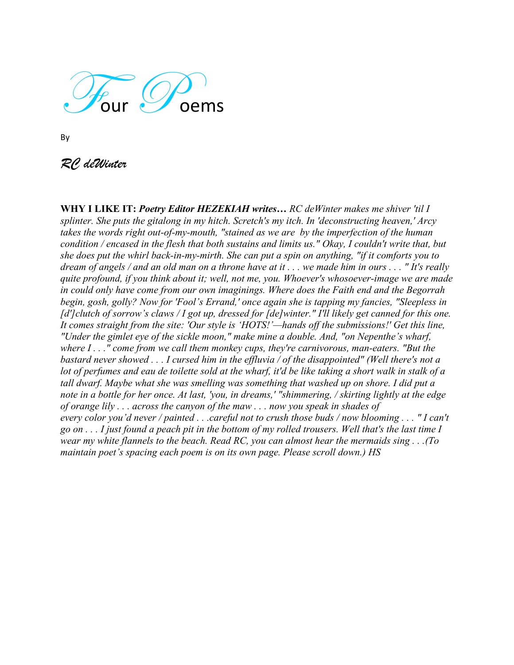

By

*RC deWinter*

**WHY I LIKE IT:** *Poetry Editor HEZEKIAH writes… RC deWinter makes me shiver 'til I splinter. She puts the gitalong in my hitch. Scretch's my itch. In 'deconstructing heaven,' Arcy takes the words right out-of-my-mouth, "stained as we are by the imperfection of the human condition / encased in the flesh that both sustains and limits us." Okay, I couldn't write that, but she does put the whirl back-in-my-mirth. She can put a spin on anything, "if it comforts you to dream of angels / and an old man on a throne have at it . . . we made him in ours . . . " It's really quite profound, if you think about it; well, not me, you. Whoever's whosoever-image we are made in could only have come from our own imaginings. Where does the Faith end and the Begorrah begin, gosh, golly? Now for 'Fool's Errand,' once again she is tapping my fancies, "Sleepless in [d']clutch of sorrow's claws / I got up, dressed for [de]winter." I'll likely get canned for this one. It comes straight from the site: 'Our style is 'HOTS!'—hands off the submissions!' Get this line, "Under the gimlet eye of the sickle moon," make mine a double. And, "on Nepenthe's wharf, where I . . ." come from we call them monkey cups, they're carnivorous, man-eaters. "But the bastard never showed . . . I cursed him in the effluvia / of the disappointed" (Well there's not a lot of perfumes and eau de toilette sold at the wharf, it'd be like taking a short walk in stalk of a tall dwarf. Maybe what she was smelling was something that washed up on shore. I did put a note in a bottle for her once. At last, 'you, in dreams,' "shimmering, / skirting lightly at the edge of orange lily . . . across the canyon of the maw . . . now you speak in shades of every color you'd never / painted . . .careful not to crush those buds / now blooming . . . " I can't go on . . . I just found a peach pit in the bottom of my rolled trousers. Well that's the last time I wear my white flannels to the beach. Read RC, you can almost hear the mermaids sing . . .(To maintain poet's spacing each poem is on its own page. Please scroll down.) HS*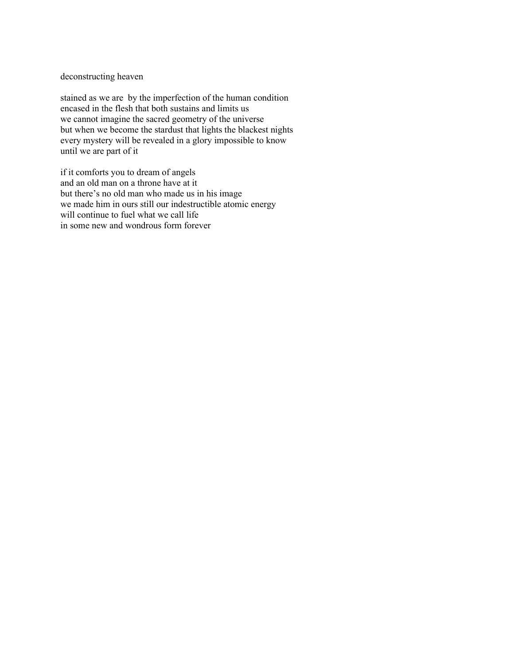deconstructing heaven

stained as we are by the imperfection of the human condition encased in the flesh that both sustains and limits us we cannot imagine the sacred geometry of the universe but when we become the stardust that lights the blackest nights every mystery will be revealed in a glory impossible to know until we are part of it

if it comforts you to dream of angels and an old man on a throne have at it but there's no old man who made us in his image we made him in ours still our indestructible atomic energy will continue to fuel what we call life in some new and wondrous form forever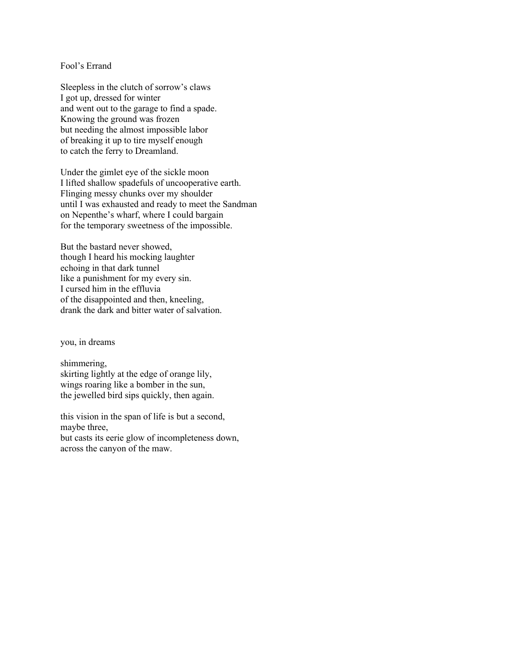## Fool's Errand

Sleepless in the clutch of sorrow's claws I got up, dressed for winter and went out to the garage to find a spade. Knowing the ground was frozen but needing the almost impossible labor of breaking it up to tire myself enough to catch the ferry to Dreamland.

Under the gimlet eye of the sickle moon I lifted shallow spadefuls of uncooperative earth. Flinging messy chunks over my shoulder until I was exhausted and ready to meet the Sandman on Nepenthe's wharf, where I could bargain for the temporary sweetness of the impossible.

But the bastard never showed, though I heard his mocking laughter echoing in that dark tunnel like a punishment for my every sin. I cursed him in the effluvia of the disappointed and then, kneeling, drank the dark and bitter water of salvation.

you, in dreams

shimmering, skirting lightly at the edge of orange lily, wings roaring like a bomber in the sun, the jewelled bird sips quickly, then again.

this vision in the span of life is but a second, maybe three, but casts its eerie glow of incompleteness down, across the canyon of the maw.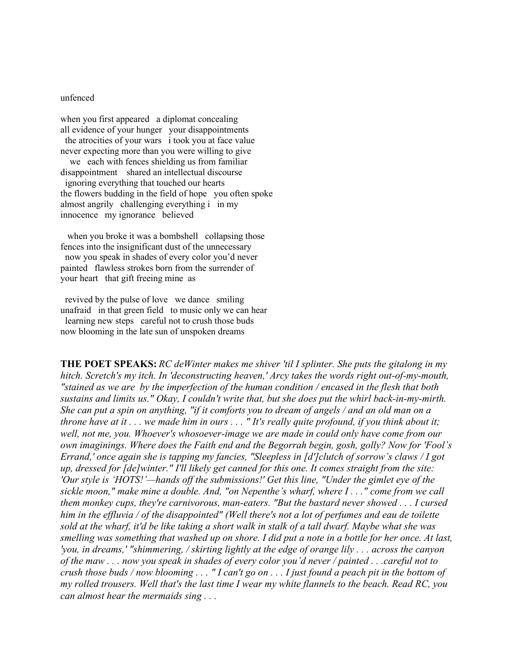## unfenced

when you first appeared a diplomat concealing all evidence of your hunger your disappointments the atrocities of your wars i took you at face value never expecting more than you were willing to give we each with fences shielding us from familiar disappointment shared an intellectual discourse ignoring everything that touched our hearts the flowers budding in the field of hope you often spoke almost angrily challenging everything i in my innocence my ignorance believed

when you broke it was a bombshell collapsing those fences into the insignificant dust of the unnecessary now you speak in shades of every color you'd never painted flawless strokes born from the surrender of your heart that gift freeing mine as

 revived by the pulse of love we dance smiling unafraid in that green field to music only we can hear learning new steps careful not to crush those buds now blooming in the late sun of unspoken dreams

**THE POET SPEAKS:** *RC deWinter makes me shiver 'til I splinter. She puts the gitalong in my hitch. Scretch's my itch. In 'deconstructing heaven,' Arcy takes the words right out-of-my-mouth, "stained as we are by the imperfection of the human condition / encased in the flesh that both sustains and limits us." Okay, I couldn't write that, but she does put the whirl back-in-my-mirth. She can put a spin on anything, "if it comforts you to dream of angels / and an old man on a throne have at it . . . we made him in ours . . . " It's really quite profound, if you think about it; well, not me, you. Whoever's whosoever-image we are made in could only have come from our own imaginings. Where does the Faith end and the Begorrah begin, gosh, golly? Now for 'Fool's Errand,' once again she is tapping my fancies, "Sleepless in [d']clutch of sorrow's claws / I got up, dressed for [de]winter." I'll likely get canned for this one. It comes straight from the site: 'Our style is 'HOTS!'—hands off the submissions!' Get this line, "Under the gimlet eye of the sickle moon," make mine a double. And, "on Nepenthe's wharf, where I . . ." come from we call them monkey cups, they're carnivorous, man-eaters. "But the bastard never showed . . . I cursed him in the effluvia / of the disappointed" (Well there's not a lot of perfumes and eau de toilette sold at the wharf, it'd be like taking a short walk in stalk of a tall dwarf. Maybe what she was smelling was something that washed up on shore. I did put a note in a bottle for her once. At last, 'you, in dreams,' "shimmering, / skirting lightly at the edge of orange lily . . . across the canyon of the maw . . . now you speak in shades of every color you'd never / painted . . .careful not to crush those buds / now blooming . . . " I can't go on . . . I just found a peach pit in the bottom of my rolled trousers. Well that's the last time I wear my white flannels to the beach. Read RC, you can almost hear the mermaids sing . . .*